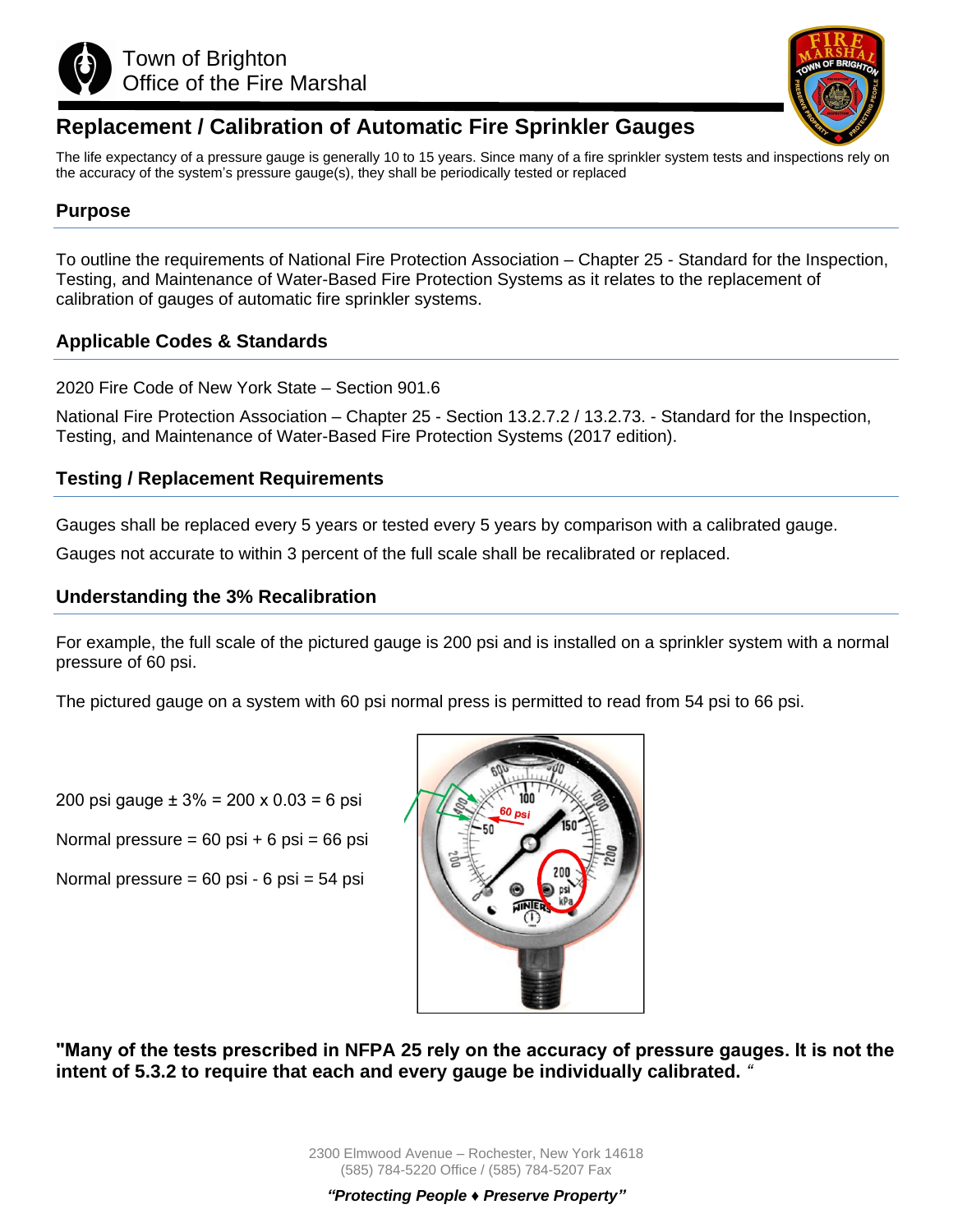



# **Replacement / Calibration of Automatic Fire Sprinkler Gauges**

The life expectancy of a pressure gauge is generally 10 to 15 years. Since many of a fire sprinkler system tests and inspections rely on the accuracy of the system's pressure gauge(s), they shall be periodically tested or replaced

## **Purpose**

To outline the requirements of National Fire Protection Association – Chapter 25 - Standard for the Inspection, Testing, and Maintenance of Water-Based Fire Protection Systems as it relates to the replacement of calibration of gauges of automatic fire sprinkler systems.

### **Applicable Codes & Standards**

2020 Fire Code of New York State – Section 901.6

National Fire Protection Association – Chapter 25 - Section 13.2.7.2 / 13.2.73. - Standard for the Inspection, Testing, and Maintenance of Water-Based Fire Protection Systems (2017 edition).

### **Testing / Replacement Requirements**

Gauges shall be replaced every 5 years or tested every 5 years by comparison with a calibrated gauge.

Gauges not accurate to within 3 percent of the full scale shall be recalibrated or replaced.

#### **Understanding the 3% Recalibration**

For example, the full scale of the pictured gauge is 200 psi and is installed on a sprinkler system with a normal pressure of 60 psi.

The pictured gauge on a system with 60 psi normal press is permitted to read from 54 psi to 66 psi.

200 psi gauge  $\pm 3\% = 200 \times 0.03 = 6$  psi

Normal pressure =  $60$  psi +  $6$  psi =  $66$  psi

Normal pressure = 60 psi - 6 psi = 54 psi



**"Many of the tests prescribed in NFPA 25 rely on the accuracy of pressure gauges. It is not the intent of 5.3.2 to require that each and every gauge be individually calibrated.** *"*

> 2300 Elmwood Avenue – Rochester, New York 14618 (585) 784-5220 Office / (585) 784-5207 Fax